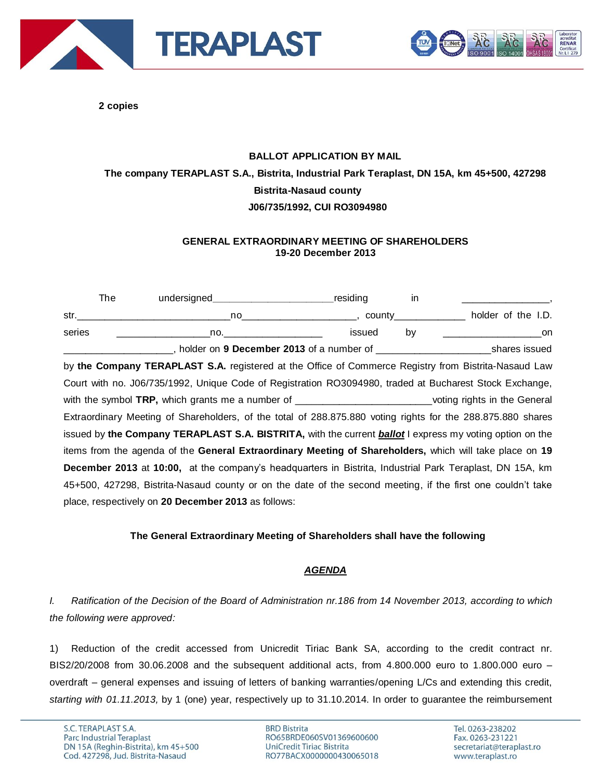



**2 copies**

## **BALLOT APPLICATION BY MAIL The company TERAPLAST S.A., Bistrita, Industrial Park Teraplast, DN 15A, km 45+500, 427298 Bistrita-Nasaud county J06/735/1992, CUI RO3094980**

## **GENERAL EXTRAORDINARY MEETING OF SHAREHOLDERS 19-20 December 2013**

|        | The | undersigned_________________________________residing                                                                                                                                                                                |                                                              | in. |                                                                                     |
|--------|-----|-------------------------------------------------------------------------------------------------------------------------------------------------------------------------------------------------------------------------------------|--------------------------------------------------------------|-----|-------------------------------------------------------------------------------------|
|        |     | str. <u>Service and the structure</u> of the structure of the structure of the structure of the structure of the structure of the structure of the structure of the structure of the structure of the structure of the structure of | _no_______________________________,county___________________ |     | holder of the I.D.                                                                  |
| series |     | no. <u>________________</u> ___                                                                                                                                                                                                     | issued                                                       | by  |                                                                                     |
|        |     |                                                                                                                                                                                                                                     |                                                              |     | __, holder on 9 December 2013 of a number of _________________________shares issued |
|        |     | by the Company TERAPLAST S.A. registered at the Office of Commerce Registry from Bistrita-Nasaud Law                                                                                                                                |                                                              |     |                                                                                     |
|        |     | Court with no. J06/735/1992, Unique Code of Registration RO3094980, traded at Bucharest Stock Exchange,                                                                                                                             |                                                              |     |                                                                                     |
|        |     | with the symbol TRP, which grants me a number of ____________________________voting rights in the General                                                                                                                           |                                                              |     |                                                                                     |
|        |     | Extraordinary Meeting of Shareholders, of the total of 288.875.880 voting rights for the 288.875.880 shares                                                                                                                         |                                                              |     |                                                                                     |
|        |     | issued by the Company TERAPLAST S.A. BISTRITA, with the current <b>ballot</b> I express my voting option on the                                                                                                                     |                                                              |     |                                                                                     |
|        |     | items from the agenda of the General Extraordinary Meeting of Shareholders, which will take place on 19                                                                                                                             |                                                              |     |                                                                                     |
|        |     | <b>December 2013</b> at 10:00, at the company's headquarters in Bistrita, Industrial Park Teraplast, DN 15A, km                                                                                                                     |                                                              |     |                                                                                     |
|        |     | 45+500, 427298, Bistrita-Nasaud county or on the date of the second meeting, if the first one couldn't take                                                                                                                         |                                                              |     |                                                                                     |
|        |     | place, respectively on 20 December 2013 as follows:                                                                                                                                                                                 |                                                              |     |                                                                                     |

## **The General Extraordinary Meeting of Shareholders shall have the following**

## *AGENDA*

*I. Ratification of the Decision of the Board of Administration nr.186 from 14 November 2013, according to which the following were approved:*

1) Reduction of the credit accessed from Unicredit Tiriac Bank SA, according to the credit contract nr. BIS2/20/2008 from 30.06.2008 and the subsequent additional acts, from 4.800.000 euro to 1.800.000 euro – overdraft – general expenses and issuing of letters of banking warranties/opening L/Cs and extending this credit, *starting with 01.11.2013,* by 1 (one) year, respectively up to 31.10.2014. In order to guarantee the reimbursement

**BRD Bistrita** RO65BRDE060SV01369600600 UniCredit Tiriac Bistrita RO77BACX0000000430065018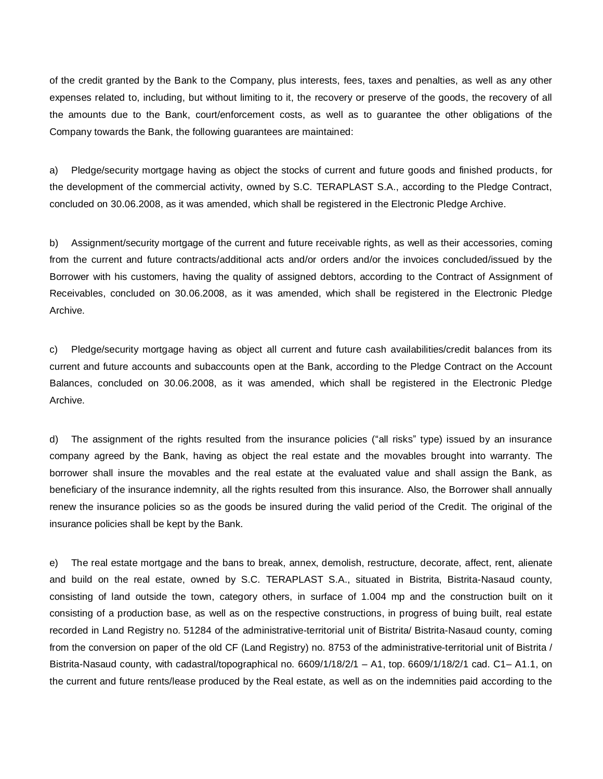of the credit granted by the Bank to the Company, plus interests, fees, taxes and penalties, as well as any other expenses related to, including, but without limiting to it, the recovery or preserve of the goods, the recovery of all the amounts due to the Bank, court/enforcement costs, as well as to guarantee the other obligations of the Company towards the Bank, the following guarantees are maintained:

a) Pledge/security mortgage having as object the stocks of current and future goods and finished products, for the development of the commercial activity, owned by S.C. TERAPLAST S.A., according to the Pledge Contract, concluded on 30.06.2008, as it was amended, which shall be registered in the Electronic Pledge Archive.

b) Assignment/security mortgage of the current and future receivable rights, as well as their accessories, coming from the current and future contracts/additional acts and/or orders and/or the invoices concluded/issued by the Borrower with his customers, having the quality of assigned debtors, according to the Contract of Assignment of Receivables, concluded on 30.06.2008, as it was amended, which shall be registered in the Electronic Pledge Archive.

c) Pledge/security mortgage having as object all current and future cash availabilities/credit balances from its current and future accounts and subaccounts open at the Bank, according to the Pledge Contract on the Account Balances, concluded on 30.06.2008, as it was amended, which shall be registered in the Electronic Pledge Archive.

d) The assignment of the rights resulted from the insurance policies ("all risks" type) issued by an insurance company agreed by the Bank, having as object the real estate and the movables brought into warranty. The borrower shall insure the movables and the real estate at the evaluated value and shall assign the Bank, as beneficiary of the insurance indemnity, all the rights resulted from this insurance. Also, the Borrower shall annually renew the insurance policies so as the goods be insured during the valid period of the Credit. The original of the insurance policies shall be kept by the Bank.

e) The real estate mortgage and the bans to break, annex, demolish, restructure, decorate, affect, rent, alienate and build on the real estate, owned by S.C. TERAPLAST S.A., situated in Bistrita, Bistrita-Nasaud county, consisting of land outside the town, category others, in surface of 1.004 mp and the construction built on it consisting of a production base, as well as on the respective constructions, in progress of buing built, real estate recorded in Land Registry no. 51284 of the administrative-territorial unit of Bistrita/ Bistrita-Nasaud county, coming from the conversion on paper of the old CF (Land Registry) no. 8753 of the administrative-territorial unit of Bistrita / Bistrita-Nasaud county, with cadastral/topographical no. 6609/1/18/2/1 – A1, top. 6609/1/18/2/1 cad. C1– A1.1, on the current and future rents/lease produced by the Real estate, as well as on the indemnities paid according to the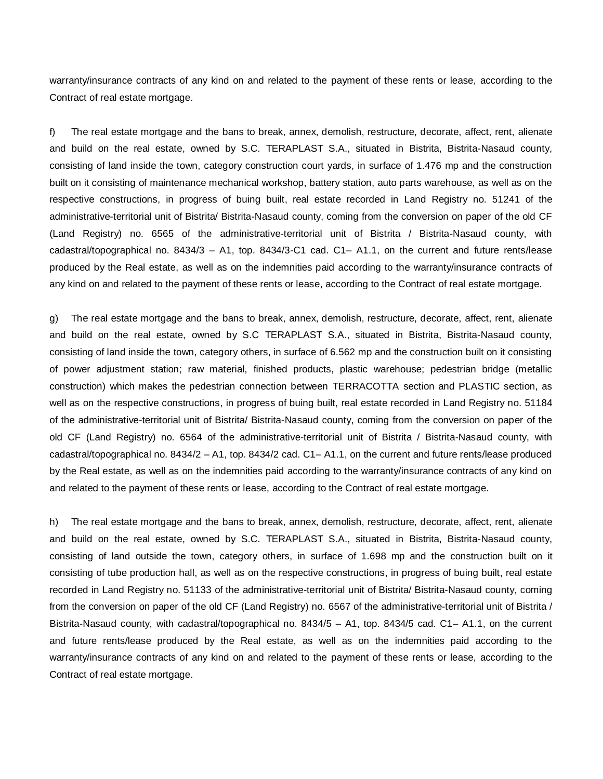warranty/insurance contracts of any kind on and related to the payment of these rents or lease, according to the Contract of real estate mortgage.

f) The real estate mortgage and the bans to break, annex, demolish, restructure, decorate, affect, rent, alienate and build on the real estate, owned by S.C. TERAPLAST S.A., situated in Bistrita, Bistrita-Nasaud county, consisting of land inside the town, category construction court yards, in surface of 1.476 mp and the construction built on it consisting of maintenance mechanical workshop, battery station, auto parts warehouse, as well as on the respective constructions, in progress of buing built, real estate recorded in Land Registry no. 51241 of the administrative-territorial unit of Bistrita/ Bistrita-Nasaud county, coming from the conversion on paper of the old CF (Land Registry) no. 6565 of the administrative-territorial unit of Bistrita / Bistrita-Nasaud county, with cadastral/topographical no. 8434/3 – A1, top. 8434/3-C1 cad. C1– A1.1, on the current and future rents/lease produced by the Real estate, as well as on the indemnities paid according to the warranty/insurance contracts of any kind on and related to the payment of these rents or lease, according to the Contract of real estate mortgage.

g) The real estate mortgage and the bans to break, annex, demolish, restructure, decorate, affect, rent, alienate and build on the real estate, owned by S.C TERAPLAST S.A., situated in Bistrita, Bistrita-Nasaud county, consisting of land inside the town, category others, in surface of 6.562 mp and the construction built on it consisting of power adjustment station; raw material, finished products, plastic warehouse; pedestrian bridge (metallic construction) which makes the pedestrian connection between TERRACOTTA section and PLASTIC section, as well as on the respective constructions, in progress of buing built, real estate recorded in Land Registry no. 51184 of the administrative-territorial unit of Bistrita/ Bistrita-Nasaud county, coming from the conversion on paper of the old CF (Land Registry) no. 6564 of the administrative-territorial unit of Bistrita / Bistrita-Nasaud county, with cadastral/topographical no. 8434/2 – A1, top. 8434/2 cad. C1– A1.1, on the current and future rents/lease produced by the Real estate, as well as on the indemnities paid according to the warranty/insurance contracts of any kind on and related to the payment of these rents or lease, according to the Contract of real estate mortgage.

h) The real estate mortgage and the bans to break, annex, demolish, restructure, decorate, affect, rent, alienate and build on the real estate, owned by S.C. TERAPLAST S.A., situated in Bistrita, Bistrita-Nasaud county, consisting of land outside the town, category others, in surface of 1.698 mp and the construction built on it consisting of tube production hall, as well as on the respective constructions, in progress of buing built, real estate recorded in Land Registry no. 51133 of the administrative-territorial unit of Bistrita/ Bistrita-Nasaud county, coming from the conversion on paper of the old CF (Land Registry) no. 6567 of the administrative-territorial unit of Bistrita / Bistrita-Nasaud county, with cadastral/topographical no. 8434/5 – A1, top. 8434/5 cad. C1– A1.1, on the current and future rents/lease produced by the Real estate, as well as on the indemnities paid according to the warranty/insurance contracts of any kind on and related to the payment of these rents or lease, according to the Contract of real estate mortgage.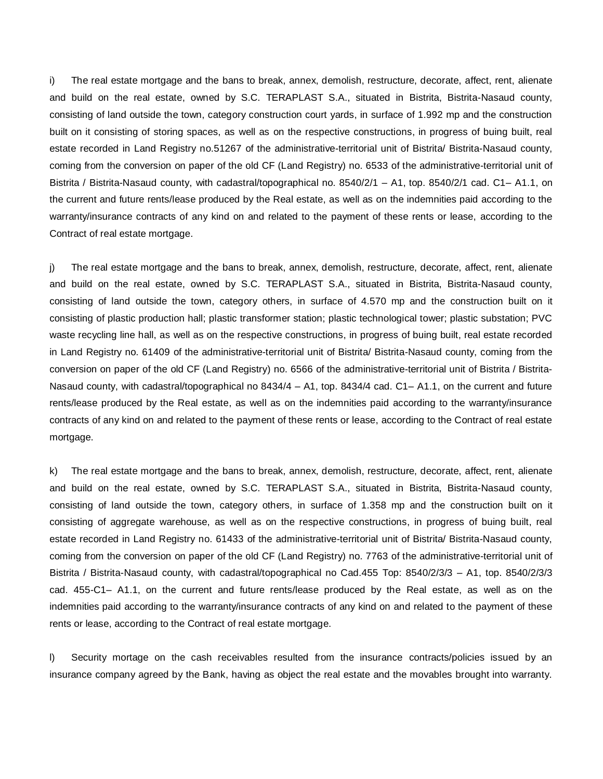i) The real estate mortgage and the bans to break, annex, demolish, restructure, decorate, affect, rent, alienate and build on the real estate, owned by S.C. TERAPLAST S.A., situated in Bistrita, Bistrita-Nasaud county, consisting of land outside the town, category construction court yards, in surface of 1.992 mp and the construction built on it consisting of storing spaces, as well as on the respective constructions, in progress of buing built, real estate recorded in Land Registry no.51267 of the administrative-territorial unit of Bistrita/ Bistrita-Nasaud county, coming from the conversion on paper of the old CF (Land Registry) no. 6533 of the administrative-territorial unit of Bistrita / Bistrita-Nasaud county, with cadastral/topographical no. 8540/2/1 – A1, top. 8540/2/1 cad. C1– A1.1, on the current and future rents/lease produced by the Real estate, as well as on the indemnities paid according to the warranty/insurance contracts of any kind on and related to the payment of these rents or lease, according to the Contract of real estate mortgage.

j) The real estate mortgage and the bans to break, annex, demolish, restructure, decorate, affect, rent, alienate and build on the real estate, owned by S.C. TERAPLAST S.A., situated in Bistrita, Bistrita-Nasaud county, consisting of land outside the town, category others, in surface of 4.570 mp and the construction built on it consisting of plastic production hall; plastic transformer station; plastic technological tower; plastic substation; PVC waste recycling line hall, as well as on the respective constructions, in progress of buing built, real estate recorded in Land Registry no. 61409 of the administrative-territorial unit of Bistrita/ Bistrita-Nasaud county, coming from the conversion on paper of the old CF (Land Registry) no. 6566 of the administrative-territorial unit of Bistrita / Bistrita-Nasaud county, with cadastral/topographical no 8434/4 – A1, top. 8434/4 cad. C1– A1.1, on the current and future rents/lease produced by the Real estate, as well as on the indemnities paid according to the warranty/insurance contracts of any kind on and related to the payment of these rents or lease, according to the Contract of real estate mortgage.

k) The real estate mortgage and the bans to break, annex, demolish, restructure, decorate, affect, rent, alienate and build on the real estate, owned by S.C. TERAPLAST S.A., situated in Bistrita, Bistrita-Nasaud county, consisting of land outside the town, category others, in surface of 1.358 mp and the construction built on it consisting of aggregate warehouse, as well as on the respective constructions, in progress of buing built, real estate recorded in Land Registry no. 61433 of the administrative-territorial unit of Bistrita/ Bistrita-Nasaud county, coming from the conversion on paper of the old CF (Land Registry) no. 7763 of the administrative-territorial unit of Bistrita / Bistrita-Nasaud county, with cadastral/topographical no Cad.455 Top: 8540/2/3/3 – A1, top. 8540/2/3/3 cad. 455-C1– A1.1, on the current and future rents/lease produced by the Real estate, as well as on the indemnities paid according to the warranty/insurance contracts of any kind on and related to the payment of these rents or lease, according to the Contract of real estate mortgage.

l) Security mortage on the cash receivables resulted from the insurance contracts/policies issued by an insurance company agreed by the Bank, having as object the real estate and the movables brought into warranty.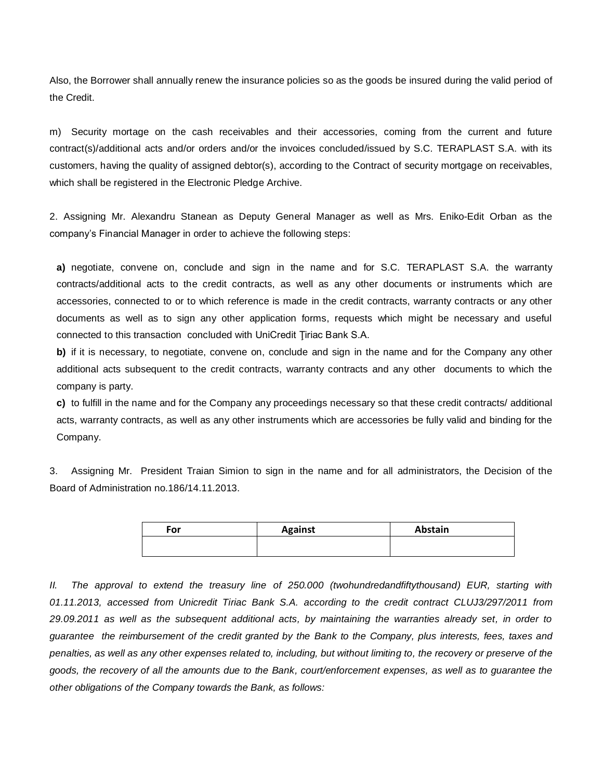Also, the Borrower shall annually renew the insurance policies so as the goods be insured during the valid period of the Credit.

m) Security mortage on the cash receivables and their accessories, coming from the current and future contract(s)/additional acts and/or orders and/or the invoices concluded/issued by S.C. TERAPLAST S.A. with its customers, having the quality of assigned debtor(s), according to the Contract of security mortgage on receivables, which shall be registered in the Electronic Pledge Archive.

2. Assigning Mr. Alexandru Stanean as Deputy General Manager as well as Mrs. Eniko-Edit Orban as the company's Financial Manager in order to achieve the following steps:

**a)** negotiate, convene on, conclude and sign in the name and for S.C. TERAPLAST S.A. the warranty contracts/additional acts to the credit contracts, as well as any other documents or instruments which are accessories, connected to or to which reference is made in the credit contracts, warranty contracts or any other documents as well as to sign any other application forms, requests which might be necessary and useful connected to this transaction concluded with UniCredit Ţiriac Bank S.A.

**b)** if it is necessary, to negotiate, convene on, conclude and sign in the name and for the Company any other additional acts subsequent to the credit contracts, warranty contracts and any other documents to which the company is party.

**c)** to fulfill in the name and for the Company any proceedings necessary so that these credit contracts/ additional acts, warranty contracts, as well as any other instruments which are accessories be fully valid and binding for the Company.

3. Assigning Mr. President Traian Simion to sign in the name and for all administrators, the Decision of the Board of Administration no.186/14.11.2013.

| For | <b>Against</b> | Abstain |
|-----|----------------|---------|
|     |                |         |
|     |                |         |

*II. The approval to extend the treasury line of 250.000 (twohundredandfiftythousand) EUR, starting with 01.11.2013, accessed from Unicredit Tiriac Bank S.A. according to the credit contract CLUJ3/297/2011 from 29.09.2011 as well as the subsequent additional acts, by maintaining the warranties already set, in order to guarantee the reimbursement of the credit granted by the Bank to the Company, plus interests, fees, taxes and penalties, as well as any other expenses related to, including, but without limiting to, the recovery or preserve of the goods, the recovery of all the amounts due to the Bank, court/enforcement expenses, as well as to guarantee the other obligations of the Company towards the Bank, as follows:*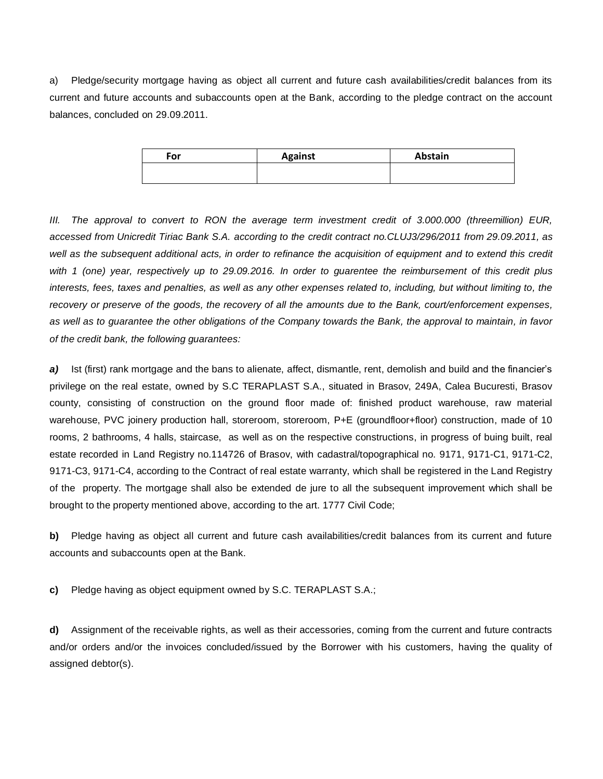a) Pledge/security mortgage having as object all current and future cash availabilities/credit balances from its current and future accounts and subaccounts open at the Bank, according to the pledge contract on the account balances, concluded on 29.09.2011.

| For | <b>Against</b> | Abstain |
|-----|----------------|---------|
|     |                |         |

*III. The approval to convert to RON the average term investment credit of 3.000.000 (threemillion) EUR, accessed from Unicredit Tiriac Bank S.A. according to the credit contract no.CLUJ3/296/2011 from 29.09.2011, as well as the subsequent additional acts, in order to refinance the acquisition of equipment and to extend this credit with 1 (one) year, respectively up to 29.09.2016. In order to guarentee the reimbursement of this credit plus interests, fees, taxes and penalties, as well as any other expenses related to, including, but without limiting to, the recovery or preserve of the goods, the recovery of all the amounts due to the Bank, court/enforcement expenses, as well as to guarantee the other obligations of the Company towards the Bank, the approval to maintain, in favor of the credit bank, the following guarantees:*

*a)* Ist (first) rank mortgage and the bans to alienate, affect, dismantle, rent, demolish and build and the financier's privilege on the real estate, owned by S.C TERAPLAST S.A., situated in Brasov, 249A, Calea Bucuresti, Brasov county, consisting of construction on the ground floor made of: finished product warehouse, raw material warehouse, PVC joinery production hall, storeroom, storeroom, P+E (groundfloor+floor) construction, made of 10 rooms, 2 bathrooms, 4 halls, staircase, as well as on the respective constructions, in progress of buing built, real estate recorded in Land Registry no.114726 of Brasov, with cadastral/topographical no. 9171, 9171-C1, 9171-C2, 9171-C3, 9171-C4, according to the Contract of real estate warranty, which shall be registered in the Land Registry of the property. The mortgage shall also be extended de jure to all the subsequent improvement which shall be brought to the property mentioned above, according to the art. 1777 Civil Code;

**b)** Pledge having as object all current and future cash availabilities/credit balances from its current and future accounts and subaccounts open at the Bank.

**c)** Pledge having as object equipment owned by S.C. TERAPLAST S.A.;

**d)** Assignment of the receivable rights, as well as their accessories, coming from the current and future contracts and/or orders and/or the invoices concluded/issued by the Borrower with his customers, having the quality of assigned debtor(s).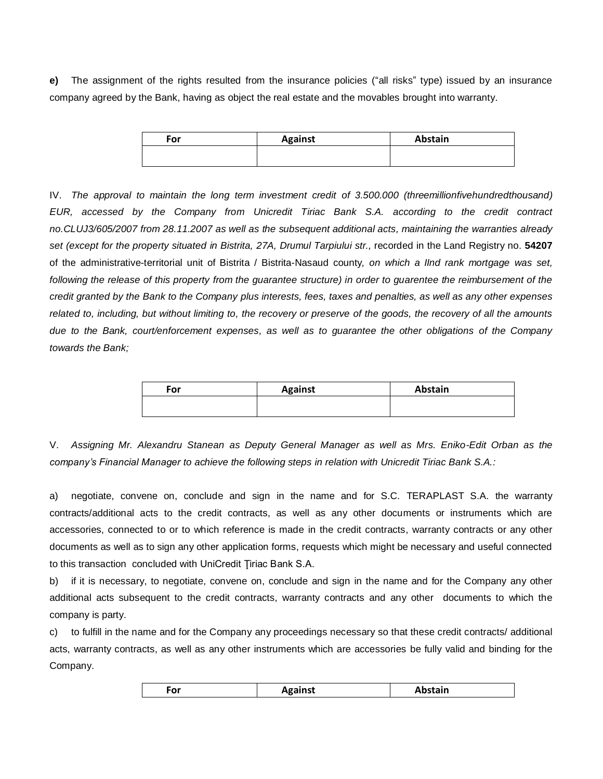**e)** The assignment of the rights resulted from the insurance policies ("all risks" type) issued by an insurance company agreed by the Bank, having as object the real estate and the movables brought into warranty.

| For | <b>Against</b> | Abstain |
|-----|----------------|---------|
|     |                |         |
|     |                |         |

IV. *The approval to maintain the long term investment credit of 3.500.000 (threemillionfivehundredthousand) EUR, accessed by the Company from Unicredit Tiriac Bank S.A. according to the credit contract no.CLUJ3/605/2007 from 28.11.2007 as well as the subsequent additional acts, maintaining the warranties already set (except for the property situated in Bistrita, 27A, Drumul Tarpiului str.,* recorded in the Land Registry no. **54207**  of the administrative-territorial unit of Bistrita / Bistrita-Nasaud county*, on which a IInd rank mortgage was set, following the release of this property from the guarantee structure) in order to guarentee the reimbursement of the credit granted by the Bank to the Company plus interests, fees, taxes and penalties, as well as any other expenses related to, including, but without limiting to, the recovery or preserve of the goods, the recovery of all the amounts due to the Bank, court/enforcement expenses, as well as to guarantee the other obligations of the Company towards the Bank;*

| For | <b>Against</b> | Abstain |
|-----|----------------|---------|
|     |                |         |

V. *Assigning Mr. Alexandru Stanean as Deputy General Manager as well as Mrs. Eniko-Edit Orban as the company's Financial Manager to achieve the following steps in relation with Unicredit Tiriac Bank S.A.:*

a) negotiate, convene on, conclude and sign in the name and for S.C. TERAPLAST S.A. the warranty contracts/additional acts to the credit contracts, as well as any other documents or instruments which are accessories, connected to or to which reference is made in the credit contracts, warranty contracts or any other documents as well as to sign any other application forms, requests which might be necessary and useful connected to this transaction concluded with UniCredit Tiriac Bank S.A.

b) if it is necessary, to negotiate, convene on, conclude and sign in the name and for the Company any other additional acts subsequent to the credit contracts, warranty contracts and any other documents to which the company is party.

c) to fulfill in the name and for the Company any proceedings necessary so that these credit contracts/ additional acts, warranty contracts, as well as any other instruments which are accessories be fully valid and binding for the Company.

| For<br>Against | Abstain |
|----------------|---------|
|                |         |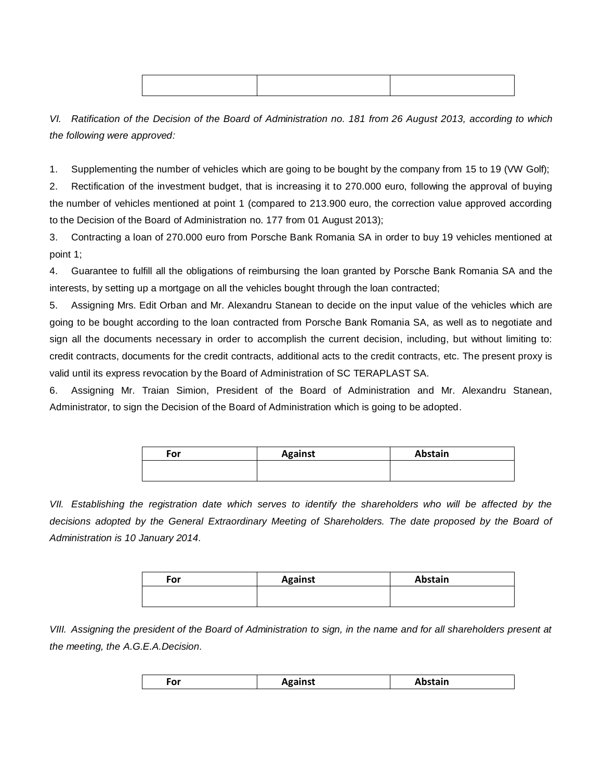*VI. Ratification of the Decision of the Board of Administration no. 181 from 26 August 2013, according to which the following were approved:*

1. Supplementing the number of vehicles which are going to be bought by the company from 15 to 19 (VW Golf);

2. Rectification of the investment budget, that is increasing it to 270.000 euro, following the approval of buying the number of vehicles mentioned at point 1 (compared to 213.900 euro, the correction value approved according to the Decision of the Board of Administration no. 177 from 01 August 2013);

3. Contracting a loan of 270.000 euro from Porsche Bank Romania SA in order to buy 19 vehicles mentioned at point 1;

4. Guarantee to fulfill all the obligations of reimbursing the loan granted by Porsche Bank Romania SA and the interests, by setting up a mortgage on all the vehicles bought through the loan contracted;

5. Assigning Mrs. Edit Orban and Mr. Alexandru Stanean to decide on the input value of the vehicles which are going to be bought according to the loan contracted from Porsche Bank Romania SA, as well as to negotiate and sign all the documents necessary in order to accomplish the current decision, including, but without limiting to: credit contracts, documents for the credit contracts, additional acts to the credit contracts, etc. The present proxy is valid until its express revocation by the Board of Administration of SC TERAPLAST SA.

6. Assigning Mr. Traian Simion, President of the Board of Administration and Mr. Alexandru Stanean, Administrator, to sign the Decision of the Board of Administration which is going to be adopted.

| For | <b>Against</b> | Abstain |
|-----|----------------|---------|
|     |                |         |
|     |                |         |

*VII. Establishing the registration date which serves to identify the shareholders who will be affected by the decisions adopted by the General Extraordinary Meeting of Shareholders. The date proposed by the Board of Administration is 10 January 2014.*

| For | <b>Against</b> | Abstain |
|-----|----------------|---------|
|     |                |         |

*VIII. Assigning the president of the Board of Administration to sign, in the name and for all shareholders present at the meeting, the A.G.E.A.Decision.*

| For | <b>Against</b> | Abstain |
|-----|----------------|---------|
|     |                |         |